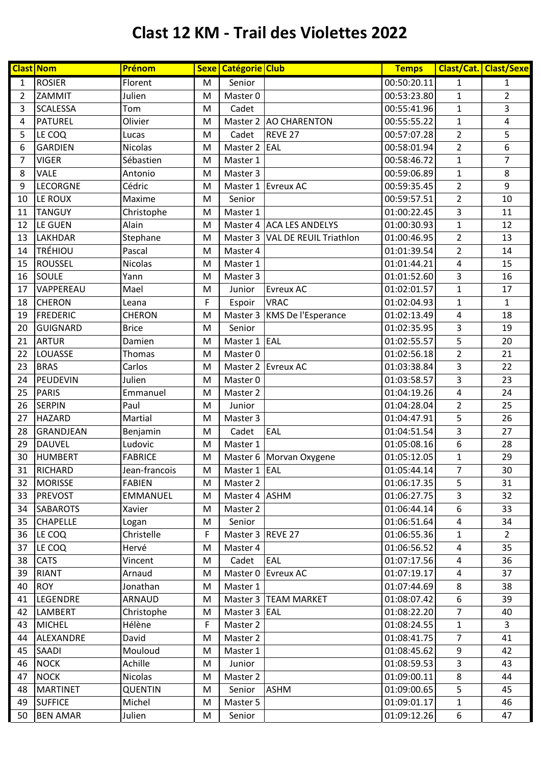|                | <b>Clast Nom</b> | Prénom          |                                                                                                            | Sexe Catégorie Club |                                 | <b>Temps</b> |                  | Clast/Cat. Clast/Sexe   |
|----------------|------------------|-----------------|------------------------------------------------------------------------------------------------------------|---------------------|---------------------------------|--------------|------------------|-------------------------|
| $\mathbf{1}$   | <b>ROSIER</b>    | Florent         | M                                                                                                          | Senior              |                                 | 00:50:20.11  | 1                | $\mathbf{1}$            |
| $\overline{2}$ | ZAMMIT           | Julien          | M                                                                                                          | Master 0            |                                 | 00:53:23.80  | $\mathbf{1}$     | $\overline{2}$          |
| 3              | <b>SCALESSA</b>  | Tom             | M                                                                                                          | Cadet               |                                 | 00:55:41.96  | $\mathbf{1}$     | 3                       |
| 4              | PATUREL          | Olivier         | M                                                                                                          | Master 2            | <b>AO CHARENTON</b>             | 00:55:55.22  | $\mathbf{1}$     | $\overline{\mathbf{4}}$ |
| 5              | LE COQ           | Lucas           | M                                                                                                          | Cadet               | REVE 27                         | 00:57:07.28  | $\overline{2}$   | 5                       |
| 6              | <b>GARDIEN</b>   | <b>Nicolas</b>  | M                                                                                                          | Master 2            | <b>EAL</b>                      | 00:58:01.94  | $\overline{2}$   | 6                       |
| $\overline{7}$ | <b>VIGER</b>     | Sébastien       | M                                                                                                          | Master 1            |                                 | 00:58:46.72  | $\mathbf{1}$     | $\overline{7}$          |
| 8              | <b>VALE</b>      | Antonio         | M                                                                                                          | Master 3            |                                 | 00:59:06.89  | $\mathbf{1}$     | 8                       |
| 9              | LECORGNE         | Cédric          | M                                                                                                          | Master 1            | <b>Evreux AC</b>                | 00:59:35.45  | $\overline{c}$   | 9                       |
| 10             | LE ROUX          | Maxime          | M                                                                                                          | Senior              |                                 | 00:59:57.51  | $\overline{2}$   | 10                      |
| 11             | <b>TANGUY</b>    | Christophe      | M                                                                                                          | Master 1            |                                 | 01:00:22.45  | 3                | 11                      |
| 12             | LE GUEN          | Alain           | M                                                                                                          |                     | Master 4 ACA LES ANDELYS        | 01:00:30.93  | $\mathbf{1}$     | 12                      |
| 13             | LAKHDAR          | Stephane        | M                                                                                                          |                     | Master 3 VAL DE REUIL Triathlon | 01:00:46.95  | $\overline{2}$   | 13                      |
| 14             | <b>TRÉHIOU</b>   | Pascal          | M                                                                                                          | Master 4            |                                 | 01:01:39.54  | $\overline{2}$   | 14                      |
| 15             | <b>ROUSSEL</b>   | Nicolas         | M                                                                                                          | Master 1            |                                 | 01:01:44.21  | $\pmb{4}$        | 15                      |
| 16             | SOULE            | Yann            | M                                                                                                          | Master 3            |                                 | 01:01:52.60  | 3                | 16                      |
| 17             | VAPPEREAU        | Mael            | M                                                                                                          | Junior              | <b>Evreux AC</b>                | 01:02:01.57  | $\mathbf{1}$     | 17                      |
| 18             | <b>CHERON</b>    | Leana           | $\mathsf F$                                                                                                | Espoir              | <b>VRAC</b>                     | 01:02:04.93  | $\mathbf{1}$     | $\mathbf{1}$            |
| 19             | <b>FREDERIC</b>  | <b>CHERON</b>   | M                                                                                                          | Master 3            | KMS De l'Esperance              | 01:02:13.49  | $\pmb{4}$        | 18                      |
| 20             | GUIGNARD         | <b>Brice</b>    | M                                                                                                          | Senior              |                                 | 01:02:35.95  | 3                | 19                      |
| 21             | <b>ARTUR</b>     | Damien          | M                                                                                                          | Master 1            | EAL                             | 01:02:55.57  | 5                | 20                      |
| 22             | LOUASSE          | <b>Thomas</b>   | M                                                                                                          | Master 0            |                                 | 01:02:56.18  | $\overline{2}$   | 21                      |
| 23             | <b>BRAS</b>      | Carlos          | M                                                                                                          | Master 2            | <b>Evreux AC</b>                | 01:03:38.84  | 3                | 22                      |
| 24             | PEUDEVIN         | Julien          | M                                                                                                          | Master 0            |                                 | 01:03:58.57  | 3                | 23                      |
| 25             | <b>PARIS</b>     | Emmanuel        | M                                                                                                          | Master 2            |                                 | 01:04:19.26  | 4                | 24                      |
| 26             | <b>SERPIN</b>    | Paul            | M                                                                                                          | Junior              |                                 | 01:04:28.04  | $\overline{2}$   | 25                      |
| 27             | <b>HAZARD</b>    | Martial         | M                                                                                                          | Master 3            |                                 | 01:04:47.91  | 5                | 26                      |
| 28             | GRANDJEAN        | Benjamin        | M                                                                                                          | Cadet               | EAL                             | 01:04:51.54  | 3                | 27                      |
| 29             | <b>DAUVEL</b>    | Ludovic         | M                                                                                                          | Master 1            |                                 | 01:05:08.16  | $\boldsymbol{6}$ | 28                      |
| 30             | <b>HUMBERT</b>   | <b>FABRICE</b>  | M                                                                                                          |                     | Master 6 Morvan Oxygene         | 01:05:12.05  | $\mathbf{1}$     | 29                      |
| 31             | RICHARD          | Jean-francois   | $\mathsf{M}% _{T}=\mathsf{M}_{T}\!\left( a,b\right) ,\ \mathsf{M}_{T}=\mathsf{M}_{T}\!\left( a,b\right) ,$ | Master 1 EAL        |                                 | 01:05:44.14  | $\overline{7}$   | 30                      |
| 32             | <b>MORISSE</b>   | <b>FABIEN</b>   | M                                                                                                          | Master 2            |                                 | 01:06:17.35  | 5                | 31                      |
| 33             | <b>PREVOST</b>   | <b>EMMANUEL</b> | M                                                                                                          | Master 4 ASHM       |                                 | 01:06:27.75  | 3                | 32                      |
| 34             | <b>SABAROTS</b>  | Xavier          | M                                                                                                          | Master 2            |                                 | 01:06:44.14  | 6                | 33                      |
| 35             | <b>CHAPELLE</b>  | Logan           | M                                                                                                          | Senior              |                                 | 01:06:51.64  | $\overline{4}$   | 34                      |
| 36             | LE COQ           | Christelle      | F                                                                                                          | Master 3 REVE 27    |                                 | 01:06:55.36  | $\mathbf{1}$     | $\overline{2}$          |
| 37             | LE COQ           | Hervé           | M                                                                                                          | Master 4            |                                 | 01:06:56.52  | $\overline{a}$   | 35                      |
| 38             | <b>CATS</b>      | Vincent         | M                                                                                                          | Cadet               | EAL                             | 01:07:17.56  | 4                | 36                      |
| 39             | <b>RIANT</b>     | Arnaud          | M                                                                                                          | Master 0            | <b>Evreux AC</b>                | 01:07:19.17  | 4                | 37                      |
| 40             | <b>ROY</b>       | Jonathan        | M                                                                                                          | Master 1            |                                 | 01:07:44.69  | 8                | 38                      |
| 41             | LEGENDRE         | <b>ARNAUD</b>   | M                                                                                                          |                     | Master 3   TEAM MARKET          | 01:08:07.42  | 6                | 39                      |
| 42             | <b>LAMBERT</b>   | Christophe      | M                                                                                                          | Master 3 EAL        |                                 | 01:08:22.20  | 7                | 40                      |
| 43             | <b>MICHEL</b>    | Hélène          | F                                                                                                          | Master 2            |                                 | 01:08:24.55  | 1                | $\overline{3}$          |
| 44             | ALEXANDRE        | David           | M                                                                                                          | Master 2            |                                 | 01:08:41.75  | $\overline{7}$   | 41                      |
| 45             | <b>SAADI</b>     | Mouloud         | M                                                                                                          | Master 1            |                                 | 01:08:45.62  | 9                | 42                      |
| 46             | <b>NOCK</b>      | Achille         | M                                                                                                          | Junior              |                                 | 01:08:59.53  | 3                | 43                      |
| 47             | <b>NOCK</b>      | Nicolas         | M                                                                                                          | Master 2            |                                 | 01:09:00.11  | 8                | 44                      |
| 48             | <b>MARTINET</b>  | <b>QUENTIN</b>  | M                                                                                                          | Senior              | <b>ASHM</b>                     | 01:09:00.65  | 5                | 45                      |
| 49             | <b>SUFFICE</b>   | Michel          | M                                                                                                          | Master 5            |                                 | 01:09:01.17  | $\mathbf{1}$     | 46                      |
| 50             | <b>BEN AMAR</b>  | Julien          | M                                                                                                          | Senior              |                                 | 01:09:12.26  | 6                | 47                      |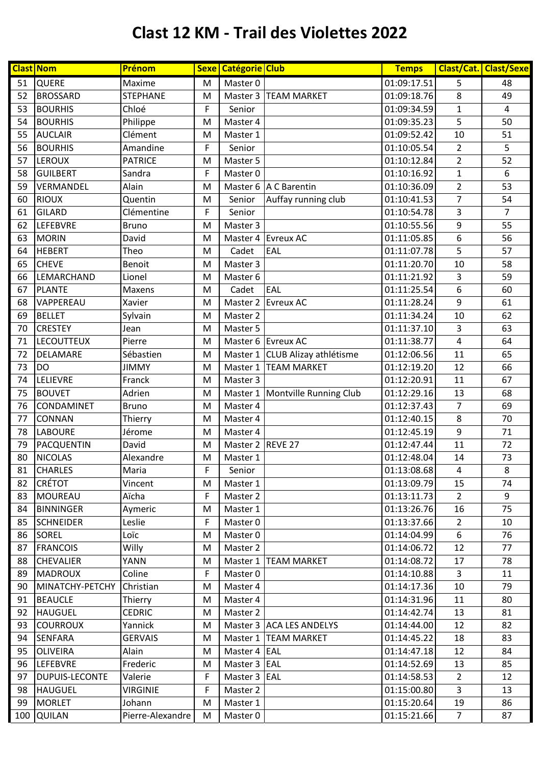|     | <b>Clast Nom</b>      | Prénom           |             | Sexe Catégorie Club |                                   | <b>Temps</b>             |                         | Clast/Cat. Clast/Sexe |
|-----|-----------------------|------------------|-------------|---------------------|-----------------------------------|--------------------------|-------------------------|-----------------------|
| 51  | <b>QUERE</b>          | Maxime           | M           | Master 0            |                                   | 01:09:17.51              | 5                       | 48                    |
| 52  | <b>BROSSARD</b>       | <b>STEPHANE</b>  | M           |                     | Master 3   TEAM MARKET            | 01:09:18.76              | 8                       | 49                    |
| 53  | <b>BOURHIS</b>        | Chloé            | $\mathsf F$ | Senior              |                                   | 01:09:34.59              | $\mathbf{1}$            | $\overline{4}$        |
| 54  | <b>BOURHIS</b>        | Philippe         | M           | Master 4            |                                   | 01:09:35.23              | 5                       | 50                    |
| 55  | <b>AUCLAIR</b>        | Clément          | M           | Master 1            |                                   | 01:09:52.42              | 10                      | 51                    |
| 56  | <b>BOURHIS</b>        | Amandine         | F           | Senior              |                                   | 01:10:05.54              | $\overline{2}$          | 5                     |
| 57  | <b>LEROUX</b>         | <b>PATRICE</b>   | M           | Master 5            |                                   | 01:10:12.84              | $\overline{2}$          | 52                    |
| 58  | <b>GUILBERT</b>       | Sandra           | F           | Master 0            |                                   | 01:10:16.92              | $\mathbf{1}$            | 6                     |
| 59  | VERMANDEL             | Alain            | M           |                     | Master 6   A C Barentin           | 01:10:36.09              | $\overline{2}$          | 53                    |
| 60  | <b>RIOUX</b>          | Quentin          | M           | Senior              | Auffay running club               | 01:10:41.53              | $\overline{7}$          | 54                    |
| 61  | <b>GILARD</b>         | Clémentine       | $\mathsf F$ | Senior              |                                   | 01:10:54.78              | 3                       | $\overline{7}$        |
| 62  | LEFEBVRE              | <b>Bruno</b>     | M           | Master 3            |                                   | 01:10:55.56              | 9                       | 55                    |
| 63  | <b>MORIN</b>          | David            | M           |                     | Master 4 Evreux AC                | 01:11:05.85              | 6                       | 56                    |
| 64  | <b>HEBERT</b>         | Theo             | M           | Cadet               | EAL                               | 01:11:07.78              | 5                       | 57                    |
| 65  | <b>CHEVE</b>          | Benoit           | M           | Master 3            |                                   | 01:11:20.70              | $10\,$                  | 58                    |
| 66  | LEMARCHAND            | Lionel           | M           | Master 6            |                                   | 01:11:21.92              | 3                       | 59                    |
| 67  | <b>PLANTE</b>         | Maxens           | M           | Cadet               | EAL                               | 01:11:25.54              | 6                       | 60                    |
| 68  | VAPPEREAU             | Xavier           | M           | Master 2            | <b>Evreux AC</b>                  | 01:11:28.24              | 9                       | 61                    |
| 69  | <b>BELLET</b>         | Sylvain          | M           | Master 2            |                                   | 01:11:34.24              | 10                      | 62                    |
| 70  | <b>CRESTEY</b>        | Jean             | M           | Master 5            |                                   | 01:11:37.10              | 3                       | 63                    |
| 71  | <b>LECOUTTEUX</b>     | Pierre           | M           |                     | Master 6 Evreux AC                | 01:11:38.77              | $\overline{\mathbf{4}}$ | 64                    |
| 72  | <b>DELAMARE</b>       | Sébastien        | M           |                     | Master 1 CLUB Alizay athlétisme   | 01:12:06.56              | 11                      | 65                    |
| 73  | <b>DO</b>             | <b>JIMMY</b>     | M           | Master 1            | <b>TEAM MARKET</b>                | 01:12:19.20              | 12                      | 66                    |
| 74  | LELIEVRE              | Franck           | M           | Master 3            |                                   | 01:12:20.91              | 11                      | 67                    |
| 75  | <b>BOUVET</b>         | Adrien           | M           |                     | Master 1   Montville Running Club | 01:12:29.16              | 13                      | 68                    |
| 76  | CONDAMINET            | <b>Bruno</b>     | M           | Master 4            |                                   | 01:12:37.43              | $\overline{7}$          | 69                    |
| 77  | <b>CONNAN</b>         | Thierry          | M           | Master 4            |                                   | 01:12:40.15              | 8                       | 70                    |
| 78  | <b>LABOURE</b>        | Jérome           | M           | Master 4            |                                   | 01:12:45.19              | 9                       | 71                    |
| 79  | PACQUENTIN            | David            | M           | Master 2 REVE 27    |                                   | 01:12:47.44              | 11                      | 72                    |
| 80  | <b>NICOLAS</b>        | Alexandre        | M           | Master 1            |                                   | 01:12:48.04              | 14                      | 73                    |
| 81  | <b>CHARLES</b>        | Maria            | F           | Senior              |                                   | $\overline{01:}13:08.68$ | 4                       | 8                     |
| 82  | <b>CRÉTOT</b>         | Vincent          | M           | Master 1            |                                   | 01:13:09.79              | 15                      | 74                    |
| 83  | <b>MOUREAU</b>        | Aïcha            | F           | Master 2            |                                   | 01:13:11.73              | $\overline{2}$          | 9                     |
| 84  | <b>BINNINGER</b>      | Aymeric          | M           | Master 1            |                                   | 01:13:26.76              | 16                      | 75                    |
| 85  | <b>SCHNEIDER</b>      | Leslie           | F           | Master 0            |                                   | 01:13:37.66              | $\overline{2}$          | 10                    |
| 86  | <b>SOREL</b>          | Loïc             | M           | Master 0            |                                   | 01:14:04.99              | 6                       | 76                    |
| 87  | <b>FRANCOIS</b>       | Willy            | M           | Master 2            |                                   | 01:14:06.72              | 12                      | 77                    |
| 88  | <b>CHEVALIER</b>      | YANN             | M           |                     | Master 1   TEAM MARKET            | 01:14:08.72              | 17                      | 78                    |
| 89  | <b>MADROUX</b>        | Coline           | $\mathsf F$ | Master 0            |                                   | 01:14:10.88              | 3                       | 11                    |
| 90  | MINATCHY-PETCHY       | Christian        | M           | Master 4            |                                   | 01:14:17.36              | 10                      | 79                    |
| 91  | <b>BEAUCLE</b>        | Thierry          | M           | Master 4            |                                   | 01:14:31.96              | 11                      | 80                    |
| 92  | <b>HAUGUEL</b>        | <b>CEDRIC</b>    | M           | Master 2            |                                   | 01:14:42.74              | 13                      | 81                    |
| 93  | <b>COURROUX</b>       | Yannick          | M           |                     | Master 3 ACA LES ANDELYS          | 01:14:44.00              | 12                      | 82                    |
| 94  | <b>SENFARA</b>        | <b>GERVAIS</b>   | M           |                     | Master 1   TEAM MARKET            | 01:14:45.22              | 18                      | 83                    |
| 95  | <b>OLIVEIRA</b>       | Alain            | M           | Master 4 EAL        |                                   | 01:14:47.18              | 12                      | 84                    |
| 96  | <b>LEFEBVRE</b>       | Frederic         | M           | Master 3 EAL        |                                   | 01:14:52.69              | 13                      | 85                    |
| 97  | <b>DUPUIS-LECONTE</b> | Valerie          | F           | Master 3 EAL        |                                   | 01:14:58.53              | $\overline{2}$          | 12                    |
| 98  | <b>HAUGUEL</b>        | <b>VIRGINIE</b>  | F           | Master 2            |                                   | 01:15:00.80              | 3                       | 13                    |
| 99  | <b>MORLET</b>         | Johann           | M           | Master 1            |                                   | 01:15:20.64              | 19                      | 86                    |
| 100 | <b>QUILAN</b>         | Pierre-Alexandre | M           | Master 0            |                                   | 01:15:21.66              | $\overline{7}$          | 87                    |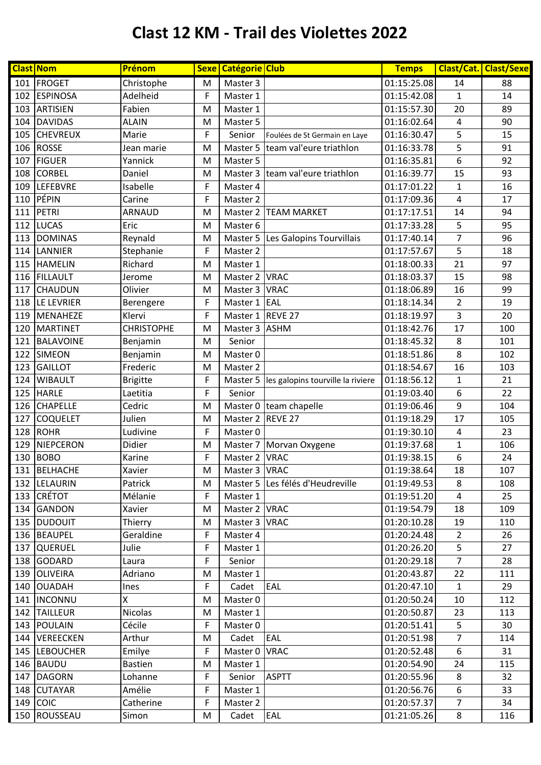|     | <b>Clast Nom</b> | Prénom            |              | Sexe Catégorie Club |                                   | <b>Temps</b> |                | <b>Clast/Cat. Clast/Sexe</b> |
|-----|------------------|-------------------|--------------|---------------------|-----------------------------------|--------------|----------------|------------------------------|
|     | 101 FROGET       | Christophe        | M            | Master 3            |                                   | 01:15:25.08  | 14             | 88                           |
| 102 | <b>ESPINOSA</b>  | Adelheid          | $\mathsf F$  | Master 1            |                                   | 01:15:42.08  | $\mathbf{1}$   | 14                           |
| 103 | ARTISIEN         | Fabien            | M            | Master 1            |                                   | 01:15:57.30  | 20             | 89                           |
| 104 | <b>DAVIDAS</b>   | <b>ALAIN</b>      | M            | Master 5            |                                   | 01:16:02.64  | $\pmb{4}$      | 90                           |
| 105 | <b>CHEVREUX</b>  | Marie             | $\mathsf F$  | Senior              | Foulées de St Germain en Laye     | 01:16:30.47  | 5              | 15                           |
| 106 | <b>ROSSE</b>     | Jean marie        | M            | Master 5            | team val'eure triathlon           | 01:16:33.78  | 5              | 91                           |
| 107 | <b>FIGUER</b>    | Yannick           | M            | Master 5            |                                   | 01:16:35.81  | 6              | 92                           |
| 108 | <b>CORBEL</b>    | Daniel            | M            |                     | Master 3 team val'eure triathlon  | 01:16:39.77  | 15             | 93                           |
| 109 | <b>LEFEBVRE</b>  | Isabelle          | $\mathsf F$  | Master 4            |                                   | 01:17:01.22  | $\mathbf{1}$   | 16                           |
| 110 | PÉPIN            | Carine            | $\mathsf F$  | Master 2            |                                   | 01:17:09.36  | 4              | 17                           |
| 111 | PETRI            | ARNAUD            | M            | Master 2            | <b>TEAM MARKET</b>                | 01:17:17.51  | 14             | 94                           |
| 112 | <b>LUCAS</b>     | Eric              | M            | Master 6            |                                   | 01:17:33.28  | 5              | 95                           |
| 113 | <b>DOMINAS</b>   | Reynald           | M            | Master 5            | Les Galopins Tourvillais          | 01:17:40.14  | $\overline{7}$ | 96                           |
| 114 | LANNIER          | Stephanie         | F            | Master 2            |                                   | 01:17:57.67  | 5              | 18                           |
| 115 | <b>HAMELIN</b>   | Richard           | M            | Master 1            |                                   | 01:18:00.33  | 21             | 97                           |
| 116 | <b>FILLAULT</b>  | Jerome            | M            | Master 2 VRAC       |                                   | 01:18:03.37  | 15             | 98                           |
| 117 | <b>CHAUDUN</b>   | Olivier           | M            | Master 3 VRAC       |                                   | 01:18:06.89  | 16             | 99                           |
| 118 | LE LEVRIER       | Berengere         | F            | Master 1 EAL        |                                   | 01:18:14.34  | $\overline{2}$ | 19                           |
| 119 | MENAHEZE         | Klervi            | $\mathsf{F}$ | Master 1 REVE 27    |                                   | 01:18:19.97  | 3              | 20                           |
| 120 | <b>MARTINET</b>  | <b>CHRISTOPHE</b> | M            | Master 3            | <b>ASHM</b>                       | 01:18:42.76  | 17             | 100                          |
| 121 | BALAVOINE        | Benjamin          | M            | Senior              |                                   | 01:18:45.32  | 8              | 101                          |
| 122 | <b>SIMEON</b>    | Benjamin          | M            | Master 0            |                                   | 01:18:51.86  | $\,8\,$        | 102                          |
| 123 | <b>GAILLOT</b>   | Frederic          | M            | Master 2            |                                   | 01:18:54.67  | 16             | 103                          |
| 124 | <b>WIBAULT</b>   | <b>Brigitte</b>   | $\mathsf{F}$ | Master 5            | les galopins tourville la riviere | 01:18:56.12  | $\mathbf{1}$   | 21                           |
| 125 | <b>HARLE</b>     | Laetitia          | F            | Senior              |                                   | 01:19:03.40  | 6              | 22                           |
| 126 | <b>CHAPELLE</b>  | Cedric            | M            |                     | Master 0 team chapelle            | 01:19:06.46  | 9              | 104                          |
| 127 | <b>COQUELET</b>  | Julien            | M            | Master 2            | REVE 27                           | 01:19:18.29  | 17             | 105                          |
| 128 | <b>ROHR</b>      | Ludivine          | $\mathsf F$  | Master 0            |                                   | 01:19:30.10  | $\sqrt{4}$     | 23                           |
| 129 | NIEPCERON        | Didier            | M            | Master 7            | Morvan Oxygene                    | 01:19:37.68  | $\mathbf{1}$   | 106                          |
| 130 | <b>BOBO</b>      | Karine            | F            | Master 2 VRAC       |                                   | 01:19:38.15  | 6              | 24                           |
|     | 131 BELHACHE     | Xavier            | M            | Master 3   VRAC     |                                   | 01:19:38.64  | 18             | 107                          |
|     | 132 LELAURIN     | Patrick           | M            |                     | Master 5 Les félés d'Heudreville  | 01:19:49.53  | 8              | 108                          |
|     | 133 CRÉTOT       | Mélanie           | F            | Master 1            |                                   | 01:19:51.20  | 4              | 25                           |
|     | 134 GANDON       | Xavier            | M            | Master 2 VRAC       |                                   | 01:19:54.79  | 18             | 109                          |
|     | 135 DUDOUIT      | Thierry           | M            | Master 3   VRAC     |                                   | 01:20:10.28  | 19             | 110                          |
|     | 136 BEAUPEL      | Geraldine         | F            | Master 4            |                                   | 01:20:24.48  | $\overline{2}$ | 26                           |
|     | 137 QUERUEL      | Julie             | F            | Master 1            |                                   | 01:20:26.20  | 5              | 27                           |
|     | 138 GODARD       | Laura             | F            | Senior              |                                   | 01:20:29.18  | $\overline{7}$ | 28                           |
|     | 139 OLIVEIRA     | Adriano           | M            | Master 1            |                                   | 01:20:43.87  | 22             | 111                          |
|     | 140 OUADAH       | Ines              | $\mathsf F$  | Cadet               | EAL                               | 01:20:47.10  | $\mathbf{1}$   | 29                           |
|     | 141  INCONNU     | X                 | M            | Master 0            |                                   | 01:20:50.24  | 10             | 112                          |
|     | 142 TAILLEUR     | <b>Nicolas</b>    | M            | Master 1            |                                   | 01:20:50.87  | 23             | 113                          |
|     | 143 POULAIN      | Cécile            | F            | Master 0            |                                   | 01:20:51.41  | 5              | 30                           |
|     | 144 VEREECKEN    | Arthur            | M            | Cadet               | <b>EAL</b>                        | 01:20:51.98  | 7              | 114                          |
|     | 145 LEBOUCHER    | Emilye            | F            | Master 0            | <b>VRAC</b>                       | 01:20:52.48  | 6              | 31                           |
|     | 146 BAUDU        | <b>Bastien</b>    | M            | Master 1            |                                   | 01:20:54.90  | 24             | 115                          |
|     | 147 DAGORN       | Lohanne           | F            | Senior              | <b>ASPTT</b>                      | 01:20:55.96  | 8              | 32                           |
|     | 148 CUTAYAR      | Amélie            | F            | Master 1            |                                   | 01:20:56.76  | 6              | 33                           |
|     | $149$ COIC       | Catherine         | F            | Master 2            |                                   | 01:20:57.37  | $\overline{7}$ | 34                           |
|     | 150 ROUSSEAU     | Simon             | M            | Cadet               | EAL                               | 01:21:05.26  | 8              | 116                          |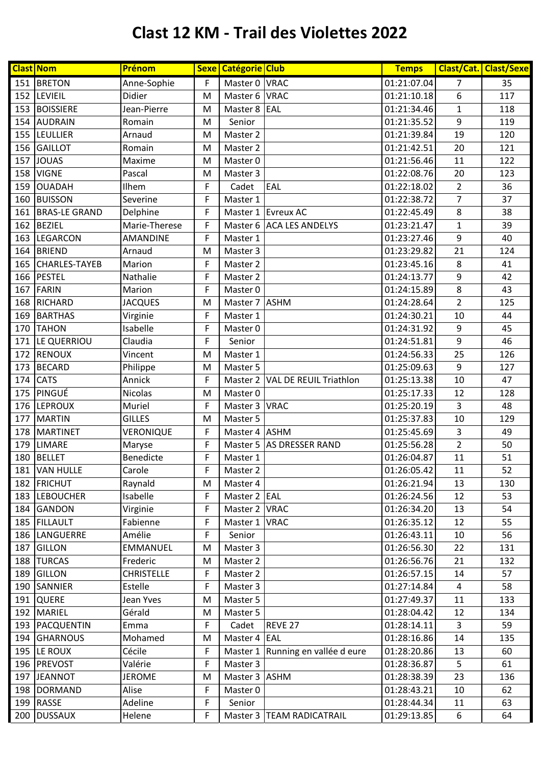|     | <b>Clast Nom</b>     | Prénom            |             | Sexe   Catégorie   Club |                                 | <b>Temps</b> |                  | <b>Clast/Cat. Clast/Sexe</b> |
|-----|----------------------|-------------------|-------------|-------------------------|---------------------------------|--------------|------------------|------------------------------|
|     | 151 BRETON           | Anne-Sophie       | F           | Master 0 VRAC           |                                 | 01:21:07.04  | 7                | 35                           |
| 152 | LEVIEIL              | Didier            | M           | Master 6 VRAC           |                                 | 01:21:10.18  | 6                | 117                          |
| 153 | <b>BOISSIERE</b>     | Jean-Pierre       | M           | Master 8 EAL            |                                 | 01:21:34.46  | $\mathbf{1}$     | 118                          |
| 154 | <b>AUDRAIN</b>       | Romain            | M           | Senior                  |                                 | 01:21:35.52  | $\boldsymbol{9}$ | 119                          |
| 155 | <b>LEULLIER</b>      | Arnaud            | M           | Master 2                |                                 | 01:21:39.84  | 19               | 120                          |
| 156 | <b>GAILLOT</b>       | Romain            | M           | Master 2                |                                 | 01:21:42.51  | 20               | 121                          |
| 157 | <b>JOUAS</b>         | Maxime            | M           | Master 0                |                                 | 01:21:56.46  | 11               | 122                          |
| 158 | <b>VIGNE</b>         | Pascal            | M           | Master 3                |                                 | 01:22:08.76  | 20               | 123                          |
| 159 | <b>OUADAH</b>        | Ilhem             | F           | Cadet                   | EAL                             | 01:22:18.02  | $\overline{2}$   | 36                           |
| 160 | <b>BUISSON</b>       | Severine          | F           | Master 1                |                                 | 01:22:38.72  | $\overline{7}$   | 37                           |
| 161 | <b>BRAS-LE GRAND</b> | Delphine          | F           |                         | Master 1 Evreux AC              | 01:22:45.49  | $\,8\,$          | 38                           |
| 162 | <b>BEZIEL</b>        | Marie-Therese     | F           |                         | Master 6 ACA LES ANDELYS        | 01:23:21.47  | $\mathbf 1$      | 39                           |
| 163 | LEGARCON             | <b>AMANDINE</b>   | F           | Master 1                |                                 | 01:23:27.46  | 9                | 40                           |
| 164 | <b>BRIEND</b>        | Arnaud            | M           | Master 3                |                                 | 01:23:29.82  | 21               | 124                          |
| 165 | <b>CHARLES-TAYEB</b> | Marion            | F           | Master 2                |                                 | 01:23:45.16  | $\,8$            | 41                           |
| 166 | <b>PESTEL</b>        | Nathalie          | F           | Master 2                |                                 | 01:24:13.77  | $\boldsymbol{9}$ | 42                           |
| 167 | FARIN                | Marion            | F           | Master 0                |                                 | 01:24:15.89  | 8                | 43                           |
| 168 | RICHARD              | <b>JACQUES</b>    | M           | Master 7 ASHM           |                                 | 01:24:28.64  | $\overline{2}$   | 125                          |
| 169 | <b>BARTHAS</b>       | Virginie          | F           | Master 1                |                                 | 01:24:30.21  | 10               | 44                           |
| 170 | <b>TAHON</b>         | Isabelle          | F           | Master 0                |                                 | 01:24:31.92  | $\boldsymbol{9}$ | 45                           |
| 171 | LE QUERRIOU          | Claudia           | F           | Senior                  |                                 | 01:24:51.81  | $\boldsymbol{9}$ | 46                           |
| 172 | RENOUX               | Vincent           | M           | Master 1                |                                 | 01:24:56.33  | 25               | 126                          |
| 173 | <b>BECARD</b>        | Philippe          | M           | Master 5                |                                 | 01:25:09.63  | 9                | 127                          |
| 174 | <b>CATS</b>          | Annick            | $\mathsf F$ |                         | Master 2 VAL DE REUIL Triathlon | 01:25:13.38  | 10               | 47                           |
| 175 | PINGUÉ               | Nicolas           | M           | Master 0                |                                 | 01:25:17.33  | 12               | 128                          |
| 176 | <b>LEPROUX</b>       | Muriel            | $\mathsf F$ | Master 3 VRAC           |                                 | 01:25:20.19  | 3                | 48                           |
| 177 | <b>MARTIN</b>        | <b>GILLES</b>     | M           | Master 5                |                                 | 01:25:37.83  | 10               | 129                          |
| 178 | <b>MARTINET</b>      | VERONIQUE         | F           | Master 4 ASHM           |                                 | 01:25:45.69  | 3                | 49                           |
| 179 | <b>LIMARE</b>        | Maryse            | F           |                         | Master 5 AS DRESSER RAND        | 01:25:56.28  | $\overline{2}$   | 50                           |
| 180 | <b>BELLET</b>        | Benedicte         | F           | Master 1                |                                 | 01:26:04.87  | 11               | 51                           |
|     | 181 VAN HULLE        | Carole            | F           | Master 2                |                                 | 01:26:05.42  | 11               | 52                           |
|     | 182 FRICHUT          | Raynald           | M           | Master 4                |                                 | 01:26:21.94  | 13               | 130                          |
|     | 183 LEBOUCHER        | Isabelle          | F           | Master 2 EAL            |                                 | 01:26:24.56  | 12               | 53                           |
|     | 184 GANDON           | Virginie          | F           | Master 2 VRAC           |                                 | 01:26:34.20  | 13               | 54                           |
|     | 185 FILLAULT         | Fabienne          | F           | Master 1 VRAC           |                                 | 01:26:35.12  | 12               | 55                           |
|     | 186 LANGUERRE        | Amélie            | F           | Senior                  |                                 | 01:26:43.11  | 10               | 56                           |
| 187 | <b>GILLON</b>        | EMMANUEL          | M           | Master 3                |                                 | 01:26:56.30  | 22               | 131                          |
|     | 188 TURCAS           | Frederic          | M           | Master 2                |                                 | 01:26:56.76  | 21               | 132                          |
|     | 189 GILLON           | <b>CHRISTELLE</b> | F           | Master 2                |                                 | 01:26:57.15  | 14               | 57                           |
|     | 190 SANNIER          | Estelle           | F           | Master 3                |                                 | 01:27:14.84  | 4                | 58                           |
|     | 191 QUERE            | Jean Yves         | M           | Master 5                |                                 | 01:27:49.37  | 11               | 133                          |
|     | 192 MARIEL           | Gérald            | M           | Master 5                |                                 | 01:28:04.42  | 12               | 134                          |
|     | 193   PACQUENTIN     | Emma              | F           | Cadet                   | REVE 27                         | 01:28:14.11  | $\overline{3}$   | 59                           |
|     | 194 GHARNOUS         | Mohamed           | M           | Master 4 EAL            |                                 | 01:28:16.86  | 14               | 135                          |
|     | 195 LE ROUX          | Cécile            | F           | Master 1                | Running en vallée d eure        | 01:28:20.86  | 13               | 60                           |
|     | 196 PREVOST          | Valérie           | F           | Master 3                |                                 | 01:28:36.87  | 5                | 61                           |
|     | 197 JEANNOT          | <b>JEROME</b>     | M           | Master 3 ASHM           |                                 | 01:28:38.39  | 23               | 136                          |
| 198 | DORMAND              | Alise             | F           | Master 0                |                                 | 01:28:43.21  | 10               | 62                           |
|     | 199 RASSE            | Adeline           | F           | Senior                  |                                 | 01:28:44.34  | 11               | 63                           |
| 200 | <b>DUSSAUX</b>       | Helene            | F           |                         | Master 3   TEAM RADICATRAIL     | 01:29:13.85  | 6                | 64                           |